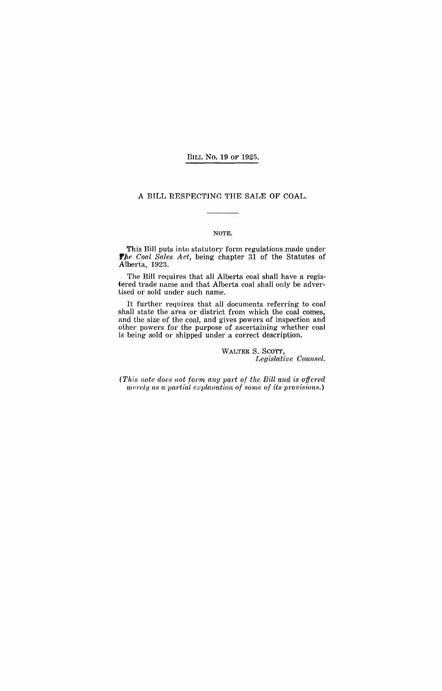BILL No. 19 OF 1925.

### A BILL RESPECTING THE SALE OF COAL.

#### NOTE.

This Bill puts into statutory form regulations made under *The Coal Sales. Act*, being chapter 31 of the Statutes of Alberta, 1923.

The Bill requires that all Alberta coal shall have a registered trade name and that Alberta coal shall only be advertised or sold under such name.

It further requires that all documents referring to coal shall state the area or district from which the coal comes, and the size of the coal, and gives powers of inspection and other powers for the purpose of ascertaining Whether coal is being sold or shipped under a correct description.

> WALTER S. SCOTT, *Legislative Counsel.*

*(This note does not form any part of the* Bill *and is offered merely as a partial explanation of some of its provisions.*)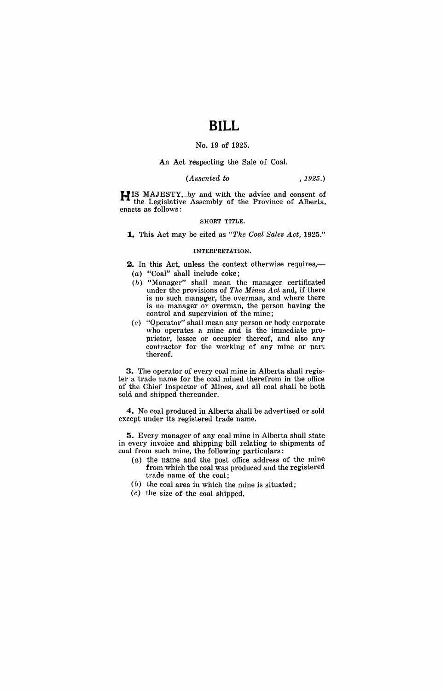# **BILL**

## No. 19 of 1925.

#### An Act respecting the Sale of Coal.

### *(Assented to* ,1925.)

**HIS** MAJESTY, .by and with the advice and consent of the Legislative Assembly of the Province of Alberta, enacts as follows:

#### SHORT TITLE.

**1,** This Act may be cited as *"The Coal Sales Act, 1925."* 

#### INTERPRETATION.

2. In this Act, unless the context otherwise requires,-(a) "Coal" shall include coke;

- (b) "Manager" shall mean the manager certificated under the provisions of *The Mines Act* and, if there is no such manager, the overman, and where there is no manager or overman, the person having the control and supervision of the mine;
- (c) "Operator" shall mean any person or body corporate who operates a mine and is the immediate proprietor, lessee or occupier thereof, and also any contractor for the working of any mine or Dart thereof.

**3.** The operator of every coal mine in Alberta shall register a trade name for the coal mined therefrom in the office of the Chief Inspector of Mines, and all coal shall be both sold and shipped thereunder.

**4.** No coal produced in Alberta shall be advertised or sold except under its registered trade name.

**5.** Every manager of any coal mine in Alberta shall state in every invoice and shipping bill relating to shipments of coal from such mine, the following particulars:

- (a) the name and the post office address of the mine from which the coal was produced and the registered trade name of the coal;
- (b) the coal area in which the mine is situated;
- (c) the size of the coal shipped.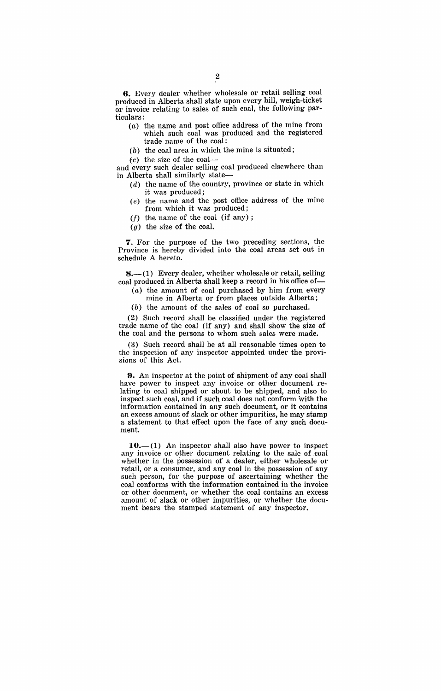**6.** Every dealer whether wholesale or retail seIling coal produced in Alberta shall state upon every bill, weigh-ticket or invoice relating to sales of such coal, the following particulars:

- $(a)$  the name and post office address of the mine from which such coal was produced and the registered trade name of the coal;
- (b) the coal area in which the mine is situated;

 $(c)$  the size of the coal-

and every such dealer selling coal produced elsewhere than in Alberta shall similarly state-

- (d) the name of the country, province or state in which it was produced;
- (e) the name and the post office address of the mine from which it was produced;
- $(f)$  the name of the coal (if any);
- $(g)$  the size of the coal.

7. For the purpose of the two preceding sections, the Province is hereby divided into the coal areas set out in schedule A hereto.

 $8.$ - $(1)$  Every dealer, whether wholesale or retail, selling coal produced in Alberta shall keep a record in his office of-

- $(a)$  the amount of coal purchased by him from every mine in Alberta or from places outside Alberta;
- (b) the amount of the sales of coal so purchased.

(2) Such record shall be classified under the registered trade name of the coal (if any) and shall show the size of the coal and the persons to whom such sales were made.

(3) Such record shall be at all reasonable times open to the inspection of any inspector appointed under the provisions of this Act.

**9.** An inspector at the point of shipment of any coal shall have power to inspect any invoice or other document relating to coal shipped or about to be shipped, and also to inspect such coal, and if such coal does not conform with the information contained in any such document, or it contains an excess amount of slack or other impurities, he may stamp a statement to that effect upon the face of any such document.

 $10.-(1)$  An inspector shall also have power to inspect any invoice or other document relating to the sale of coal whether in the possession of a dealer, either wholesale or retail, or a consumer, and any coal in the possession of any such person, for the purpose of ascertaining whether the coal conforms with the information contained in the invoice or other document, or whether the coal contains an excess amount of slack or other impurities, or whether the document bears the stamped statement of any inspector.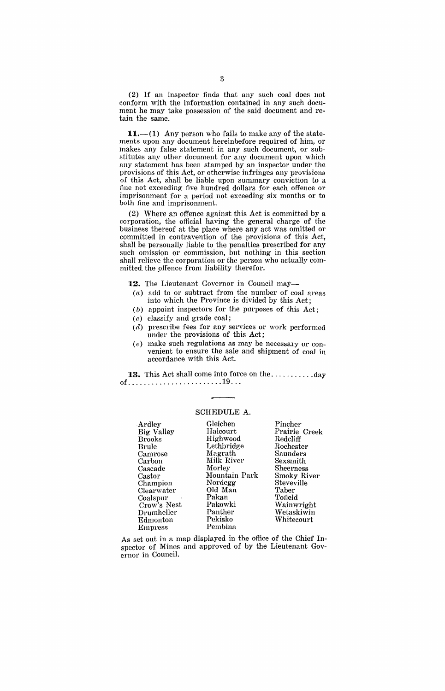(2) If an inspector finds that any such coal does not conform with the information contained in any such document he may take possession of the said document and retain the same.

 $11.-(1)$  Any person who fails to make any of the statements upon any document hereinbefore required of him, or makes any false statement in any such document, or substitutes any other document for any document upon which any statement has been stamped by an inspector under the provisions of this Act, or otherwise infringes any provisions of this Act, shall be liable upon summary conviction to a fine not exceeding five hundred dollars for each offence or imprisonment for a period not exceeding six months or to both fine and imprisonment.

(2) Where an offence against this Act is committed by a corporation, the official having the general charge of the business thereof at the place where any act was omitted or committed in contravention of the provisions of this Act, shall be personally liable to the penalties prescribed' for any such omission or commission, but nothing in this section shall relieve the corporation or the person who actually committed the offence from liability therefor.

12. The Lieutenant Governor in Council may-

- $(a)$  add to or subtract from the number of coal areas into which the Province is divided by this Act;
- $(b)$  appoint inspectors for the purposes of this Act;
- *( c* ) classify and grade coal;
- (d) prescribe fees for any services or work performed under the provisions of this Act;
- (e) make such regulations as may be necessary or convenient to ensure the sale and shipment of coal in accordance with this Act.

13. This Act shall come into force on the ................day of ........................ 19 .. .

### SCHEDULE A.

| Ardley         | Gleichen      | Pincher            |
|----------------|---------------|--------------------|
| Big Valley     | Halcourt      | Prairie Creek      |
| <b>Brooks</b>  | Highwood      | Redcliff           |
| Brule          | Lethbridge    | Rochester          |
| Camrose        | Magrath       | Saunders           |
| Carbon         | Milk River    | Sexsmith           |
| Cascade        | Morley        | Sheerness          |
| Castor         | Mountain Park | <b>Smoky River</b> |
| Champion       | Nordegg       | Steveville         |
| Clearwater     | Old Man       | Taber              |
| Coalspur       | Pakan         | Tofield            |
| Crow's Nest    | Pakowki       | Wainwright         |
| Drumheller     | Panther       | Wetaskiwin         |
| Edmonton       | Pekisko       | Whitecourt         |
| <b>Empress</b> | Pembina       |                    |

As set out in a map displayed in the office of the Chief Inspector of Mines and approved of by the Lieutenant Governor in Council.